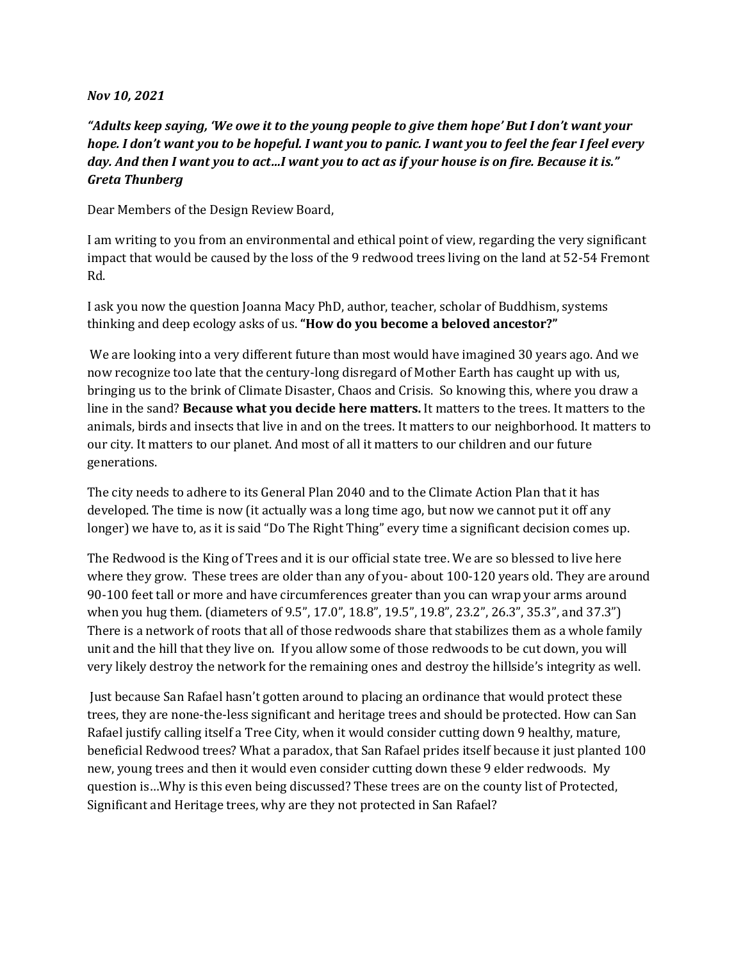## *Nov 10, 2021*

*"Adults keep saying, 'We owe it to the young people to give them hope' But I don't want your hope. I don't want you to be hopeful. I want you to panic. I want you to feel the fear I feel every day. And then I want you to act…I want you to act as if your house is on fire. Because it is." Greta Thunberg*

Dear Members of the Design Review Board,

I am writing to you from an environmental and ethical point of view, regarding the very significant impact that would be caused by the loss of the 9 redwood trees living on the land at 52-54 Fremont Rd.

I ask you now the question Joanna Macy PhD, author, teacher, scholar of Buddhism, systems thinking and deep ecology asks of us. **"How do you become a beloved ancestor?"**

We are looking into a very different future than most would have imagined 30 years ago. And we now recognize too late that the century-long disregard of Mother Earth has caught up with us, bringing us to the brink of Climate Disaster, Chaos and Crisis. So knowing this, where you draw a line in the sand? **Because what you decide here matters.** It matters to the trees. It matters to the animals, birds and insects that live in and on the trees. It matters to our neighborhood. It matters to our city. It matters to our planet. And most of all it matters to our children and our future generations.

The city needs to adhere to its General Plan 2040 and to the Climate Action Plan that it has developed. The time is now (it actually was a long time ago, but now we cannot put it off any longer) we have to, as it is said "Do The Right Thing" every time a significant decision comes up.

The Redwood is the King of Trees and it is our official state tree. We are so blessed to live here where they grow. These trees are older than any of you- about 100-120 years old. They are around 90-100 feet tall or more and have circumferences greater than you can wrap your arms around when you hug them. (diameters of 9.5", 17.0", 18.8", 19.5", 19.8", 23.2", 26.3", 35.3", and 37.3") There is a network of roots that all of those redwoods share that stabilizes them as a whole family unit and the hill that they live on. If you allow some of those redwoods to be cut down, you will very likely destroy the network for the remaining ones and destroy the hillside's integrity as well.

Just because San Rafael hasn't gotten around to placing an ordinance that would protect these trees, they are none-the-less significant and heritage trees and should be protected. How can San Rafael justify calling itself a Tree City, when it would consider cutting down 9 healthy, mature, beneficial Redwood trees? What a paradox, that San Rafael prides itself because it just planted 100 new, young trees and then it would even consider cutting down these 9 elder redwoods. My question is…Why is this even being discussed? These trees are on the county list of Protected, Significant and Heritage trees, why are they not protected in San Rafael?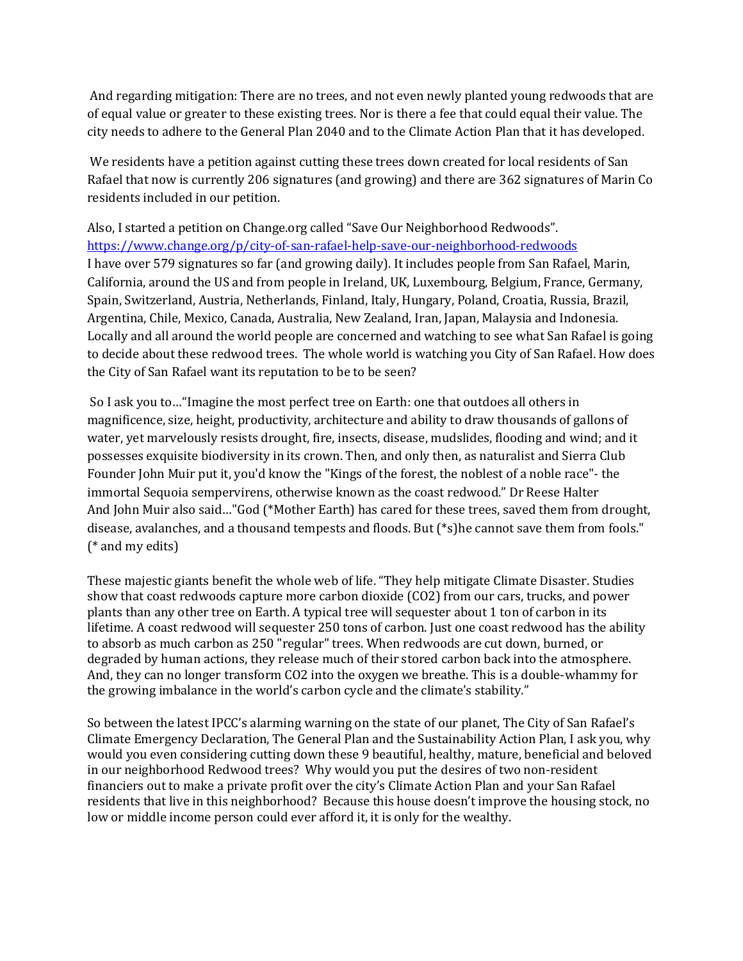And regarding mitigation: There are no trees, and not even newly planted young redwoods that are of equal value or greater to these existing trees. Nor is there a fee that could equal their value. The city needs to adhere to the General Plan 2040 and to the Climate Action Plan that it has developed.

We residents have a petition against cutting these trees down created for local residents of San Rafael that now is currently 206 signatures (and growing) and there are 362 signatures of Marin Co residents included in our petition.

Also, I started a petition on Change.org called "Save Our Neighborhood Redwoods". <https://www.change.org/p/city-of-san-rafael-help-save-our-neighborhood-redwoods> I have over 579 signatures so far (and growing daily). It includes people from San Rafael, Marin, California, around the US and from people in Ireland, UK, Luxembourg, Belgium, France, Germany, Spain, Switzerland, Austria, Netherlands, Finland, Italy, Hungary, Poland, Croatia, Russia, Brazil, Argentina, Chile, Mexico, Canada, Australia, New Zealand, Iran, Japan, Malaysia and Indonesia. Locally and all around the world people are concerned and watching to see what San Rafael is going to decide about these redwood trees. The whole world is watching you City of San Rafael. How does the City of San Rafael want its reputation to be to be seen?

So I ask you to…"Imagine the most perfect tree on Earth: one that outdoes all others in magnificence, size, height, productivity, architecture and ability to draw thousands of gallons of water, yet marvelously resists drought, fire, insects, disease, mudslides, flooding and wind; and it possesses exquisite biodiversity in its crown. Then, and only then, as naturalist and Sierra Club Founder John Muir put it, you'd know the "Kings of the forest, the noblest of a noble race"- the immortal Sequoia sempervirens, otherwise known as the coast redwood." Dr Reese Halter And John Muir also said…"God (\*Mother Earth) has cared for these trees, saved them from drought, disease, avalanches, and a thousand tempests and floods. But (\*s)he cannot save them from fools." (\* and my edits)

These majestic giants benefit the whole web of life. "They help mitigate Climate Disaster. Studies show that coast redwoods capture more carbon dioxide (CO2) from our cars, trucks, and power plants than any other tree on Earth. A typical tree will sequester about 1 ton of carbon in its lifetime. A coast redwood will sequester 250 tons of carbon. Just one coast redwood has the ability to absorb as much carbon as 250 "regular" trees. When redwoods are cut down, burned, or degraded by human actions, they release much of their stored carbon back into the atmosphere. And, they can no longer transform CO2 into the oxygen we breathe. This is a double-whammy for the growing imbalance in the world's carbon cycle and the climate's stability."

So between the latest IPCC's alarming warning on the state of our planet, The City of San Rafael's Climate Emergency Declaration, The General Plan and the Sustainability Action Plan, I ask you, why would you even considering cutting down these 9 beautiful, healthy, mature, beneficial and beloved in our neighborhood Redwood trees? Why would you put the desires of two non-resident financiers out to make a private profit over the city's Climate Action Plan and your San Rafael residents that live in this neighborhood? Because this house doesn't improve the housing stock, no low or middle income person could ever afford it, it is only for the wealthy.